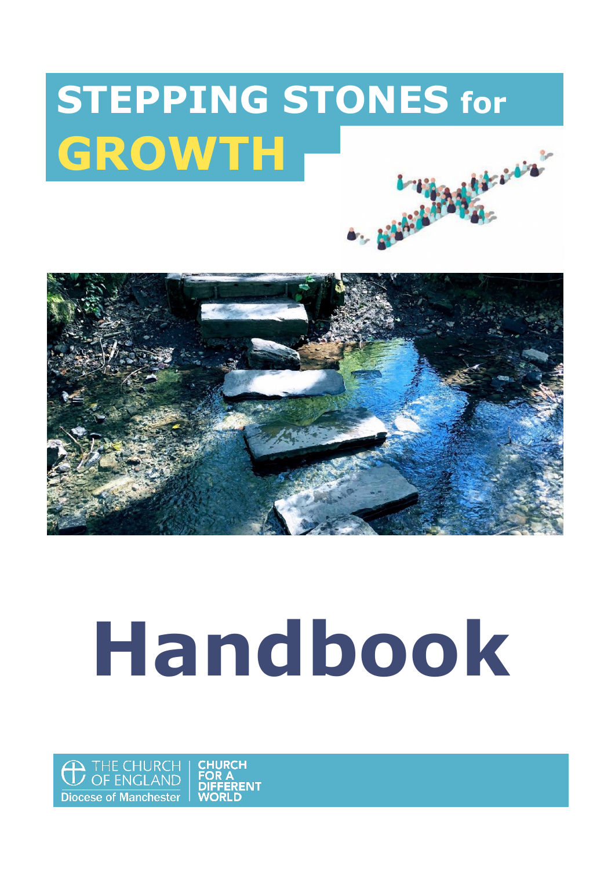## **STEPPING STONES for GROWTH**Hard Bar 4. 634 - 533



# **Handbook**

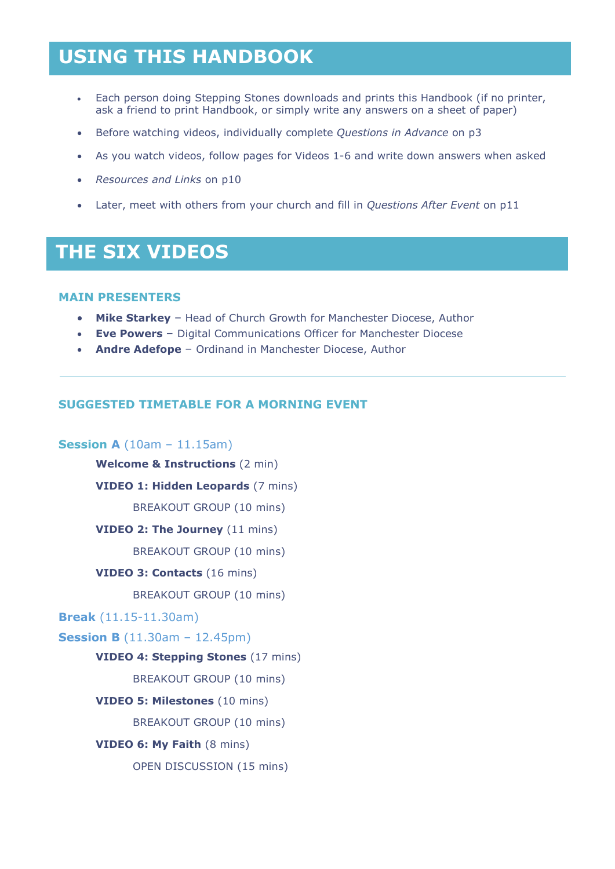### **USING THIS HANDBOOK**

- Each person doing Stepping Stones downloads and prints this Handbook (if no printer, ask a friend to print Handbook, or simply write any answers on a sheet of paper)
- Before watching videos, individually complete *Questions in Advance* on p3
- As you watch videos, follow pages for Videos 1-6 and write down answers when asked
- *Resources and Links* on p10
- Later, meet with others from your church and fill in *Questions After Event* on p11

### **THE SIX VIDEOS**

### **MAIN PRESENTERS**

- **Mike Starkey**  Head of Church Growth for Manchester Diocese, Author
- **Eve Powers**  Digital Communications Officer for Manchester Diocese
- **Andre Adefope**  Ordinand in Manchester Diocese, Author

### **SUGGESTED TIMETABLE FOR A MORNING EVENT**

### **Session A** (10am – 11.15am)

**Welcome & Instructions** (2 min)

**VIDEO 1: Hidden Leopards** (7 mins)

BREAKOUT GROUP (10 mins)

#### **VIDEO 2: The Journey** (11 mins)

BREAKOUT GROUP (10 mins)

#### **VIDEO 3: Contacts** (16 mins)

BREAKOUT GROUP (10 mins)

### **Break** (11.15-11.30am)

### **Session B** (11.30am – 12.45pm)

#### **VIDEO 4: Stepping Stones** (17 mins)

BREAKOUT GROUP (10 mins)

**VIDEO 5: Milestones** (10 mins)

BREAKOUT GROUP (10 mins)

#### **VIDEO 6: My Faith** (8 mins)

OPEN DISCUSSION (15 mins)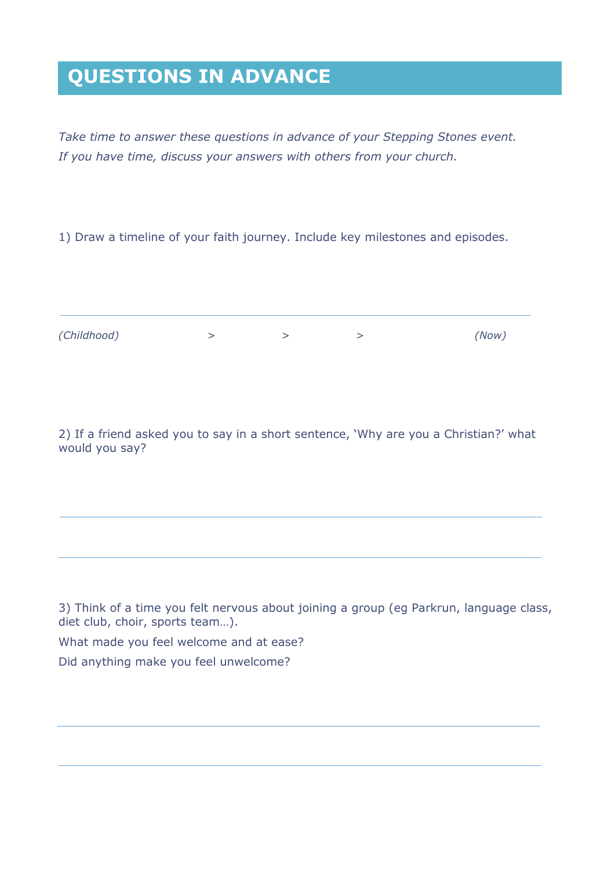### **QUESTIONS IN ADVANCE**

*Take time to answer these questions in advance of your Stepping Stones event. If you have time, discuss your answers with others from your church.*

1) Draw a timeline of your faith journey. Include key milestones and episodes.

| (Childhood) |  | (Now) |
|-------------|--|-------|

2) If a friend asked you to say in a short sentence, 'Why are you a Christian?' what would you say?

3) Think of a time you felt nervous about joining a group (eg Parkrun, language class, diet club, choir, sports team…).

What made you feel welcome and at ease?

Did anything make you feel unwelcome?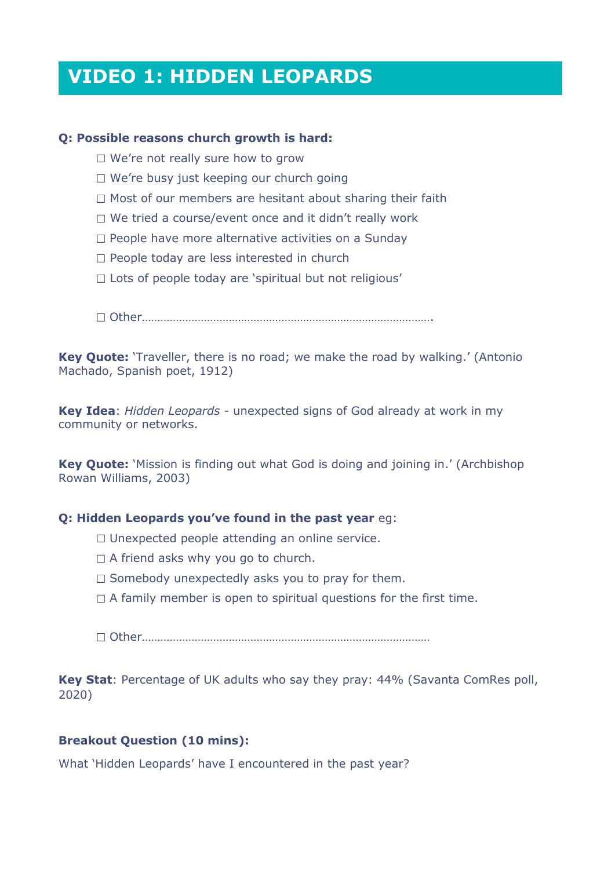### **VIDEO 1: HIDDEN LEOPARDS**

### **Q: Possible reasons church growth is hard:**

- $\Box$  We're not really sure how to grow
- $\Box$  We're busy just keeping our church going
- $\Box$  Most of our members are hesitant about sharing their faith
- $\Box$  We tried a course/event once and it didn't really work
- $\Box$  People have more alternative activities on a Sunday
- $\Box$  People today are less interested in church
- $\Box$  Lots of people today are 'spiritual but not religious'

Other………………………………………………………………………………….

**Key Quote:** 'Traveller, there is no road; we make the road by walking.' (Antonio Machado, Spanish poet, 1912)

**Key Idea**: *Hidden Leopards* - unexpected signs of God already at work in my community or networks.

**Key Quote:** 'Mission is finding out what God is doing and joining in.' (Archbishop Rowan Williams, 2003)

#### **Q: Hidden Leopards you've found in the past year** eg:

- $\Box$  Unexpected people attending an online service.
- $\Box$  A friend asks why you go to church.
- $\Box$  Somebody unexpectedly asks you to pray for them.
- $\Box$  A family member is open to spiritual questions for the first time.

Other…………………………………………………………………………………

**Key Stat**: Percentage of UK adults who say they pray: 44% (Savanta ComRes poll, 2020)

### **Breakout Question (10 mins):**

What 'Hidden Leopards' have I encountered in the past year?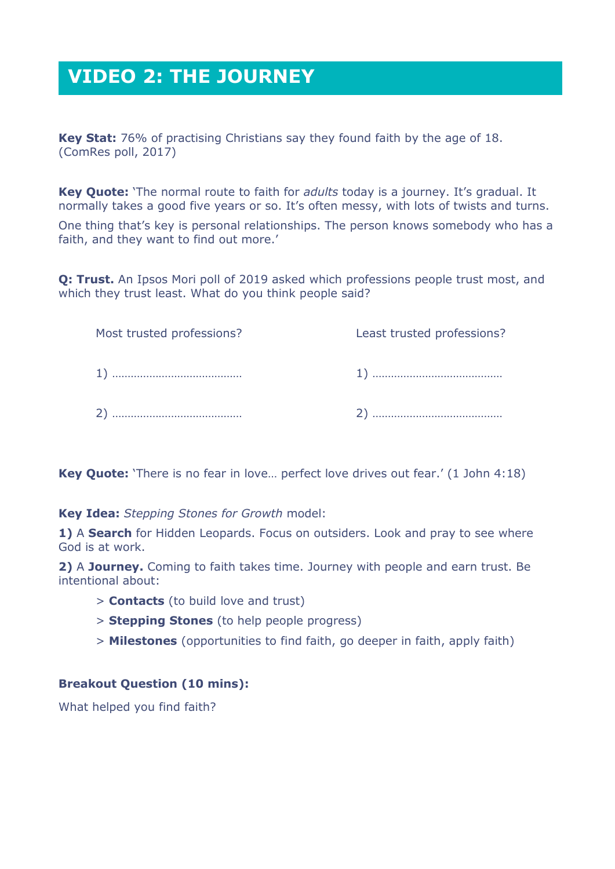### **VIDEO 2: THE JOURNEY**

**Key Stat:** 76% of practising Christians say they found faith by the age of 18. (ComRes poll, 2017)

**Key Quote:** 'The normal route to faith for *adults* today is a journey. It's gradual. It normally takes a good five years or so. It's often messy, with lots of twists and turns.

One thing that's key is personal relationships. The person knows somebody who has a faith, and they want to find out more.'

**Q: Trust.** An Ipsos Mori poll of 2019 asked which professions people trust most, and which they trust least. What do you think people said?

| Most trusted professions? | Least trusted professions? |
|---------------------------|----------------------------|
|                           |                            |
|                           |                            |

**Key Quote:** 'There is no fear in love... perfect love drives out fear.' (1 John 4:18)

**Key Idea:** *Stepping Stones for Growth* model:

**1)** A **Search** for Hidden Leopards. Focus on outsiders. Look and pray to see where God is at work.

**2)** A **Journey.** Coming to faith takes time. Journey with people and earn trust. Be intentional about:

- > **Contacts** (to build love and trust)
- > **Stepping Stones** (to help people progress)
- > **Milestones** (opportunities to find faith, go deeper in faith, apply faith)

### **Breakout Question (10 mins):**

What helped you find faith?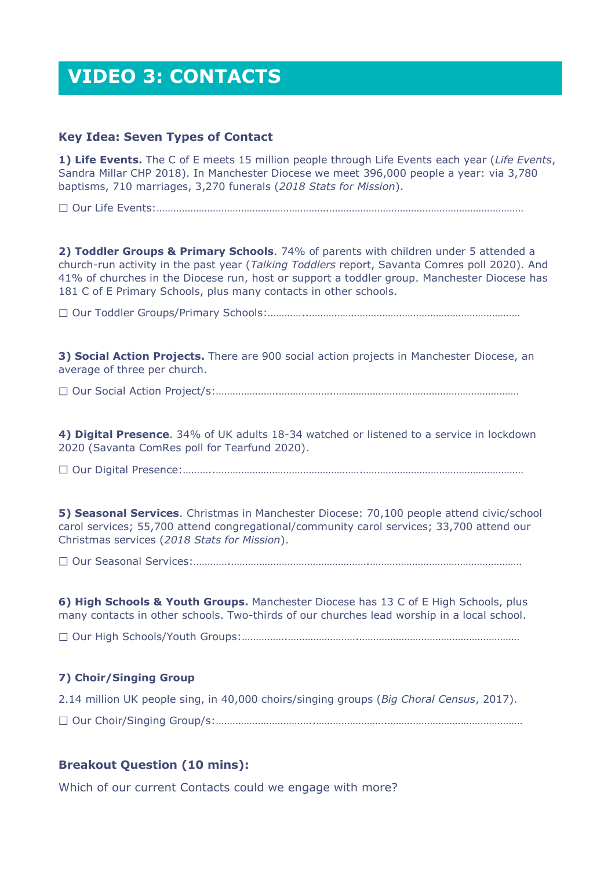### **VIDEO 3: CONTACTS**

### **Key Idea: Seven Types of Contact**

**1) Life Events.** The C of E meets 15 million people through Life Events each year (*Life Events*, Sandra Millar CHP 2018). In Manchester Diocese we meet 396,000 people a year: via 3,780 baptisms, 710 marriages, 3,270 funerals (*2018 Stats for Mission*).

Our Life Events:…………………………………………………….……………………………………………………………

**2) Toddler Groups & Primary Schools**. 74% of parents with children under 5 attended a church-run activity in the past year (*Talking Toddlers* report, Savanta Comres poll 2020). And 41% of churches in the Diocese run, host or support a toddler group. Manchester Diocese has 181 C of E Primary Schools, plus many contacts in other schools.

Our Toddler Groups/Primary Schools:…………..…………………………………………………………………

**3) Social Action Projects.** There are 900 social action projects in Manchester Diocese, an average of three per church.

Our Social Action Project/s:………………….……………….…………………………………………………………

**4) Digital Presence**. 34% of UK adults 18-34 watched or listened to a service in lockdown 2020 (Savanta ComRes poll for Tearfund 2020).

Our Digital Presence:………..…………………………………………….…………………………………………………

**5) Seasonal Services**. Christmas in Manchester Diocese: 70,100 people attend civic/school carol services; 55,700 attend congregational/community carol services; 33,700 attend our Christmas services (*2018 Stats for Mission*).

Our Seasonal Services:………….………………………………………….………………………………………………

**6) High Schools & Youth Groups.** Manchester Diocese has 13 C of E High Schools, plus many contacts in other schools. Two-thirds of our churches lead worship in a local school.

Our High Schools/Youth Groups:…………….…………………….…………………………………………………

### **7) Choir/Singing Group**

2.14 million UK people sing, in 40,000 choirs/singing groups (*Big Choral Census*, 2017).

Our Choir/Singing Group/s:……………………………..…………………….…………………………………………

### **Breakout Question (10 mins):**

Which of our current Contacts could we engage with more?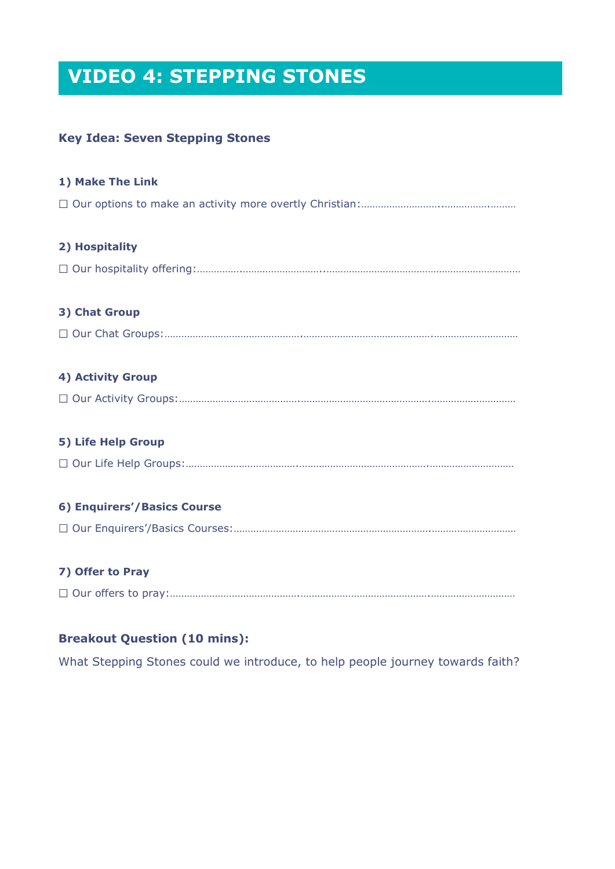### **VIDEO 4: STEPPING STONES**

### **Key Idea: Seven Stepping Stones**

| 1) Make The Link            |
|-----------------------------|
|                             |
| 2) Hospitality              |
|                             |
| 3) Chat Group               |
|                             |
| <b>4) Activity Group</b>    |
|                             |
| 5) Life Help Group          |
|                             |
| 6) Enquirers'/Basics Course |
|                             |
| 7) Offer to Pray            |
|                             |

### **Breakout Question (10 mins):**

What Stepping Stones could we introduce, to help people journey towards faith?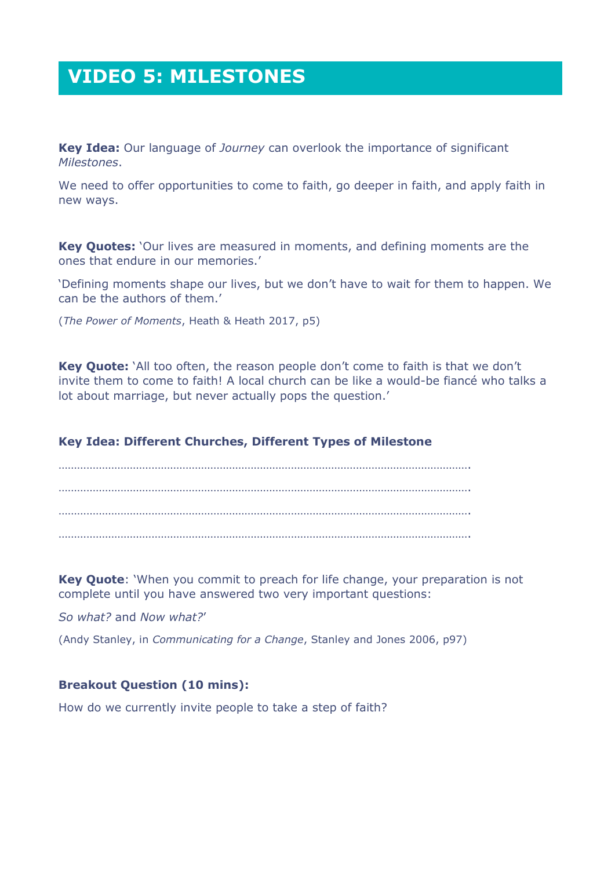### **VIDEO 5: MILESTONES**

**Key Idea:** Our language of *Journey* can overlook the importance of significant *Milestones*.

We need to offer opportunities to come to faith, go deeper in faith, and apply faith in new ways.

**Key Quotes:** 'Our lives are measured in moments, and defining moments are the ones that endure in our memories.'

'Defining moments shape our lives, but we don't have to wait for them to happen. We can be the authors of them.'

(*The Power of Moments*, Heath & Heath 2017, p5)

**Key Quote:** 'All too often, the reason people don't come to faith is that we don't invite them to come to faith! A local church can be like a would-be fiancé who talks a lot about marriage, but never actually pops the question.'

### **Key Idea: Different Churches, Different Types of Milestone**

……………………………………………………………………………………………………………………. ……………………………………………………………………………………………………………………. ……………………………………………………………………………………………………………………. …………………………………………………………………………………………………………………….

**Key Quote**: 'When you commit to preach for life change, your preparation is not complete until you have answered two very important questions:

*So what?* and *Now what?*'

(Andy Stanley, in *Communicating for a Change*, Stanley and Jones 2006, p97)

### **Breakout Question (10 mins):**

How do we currently invite people to take a step of faith?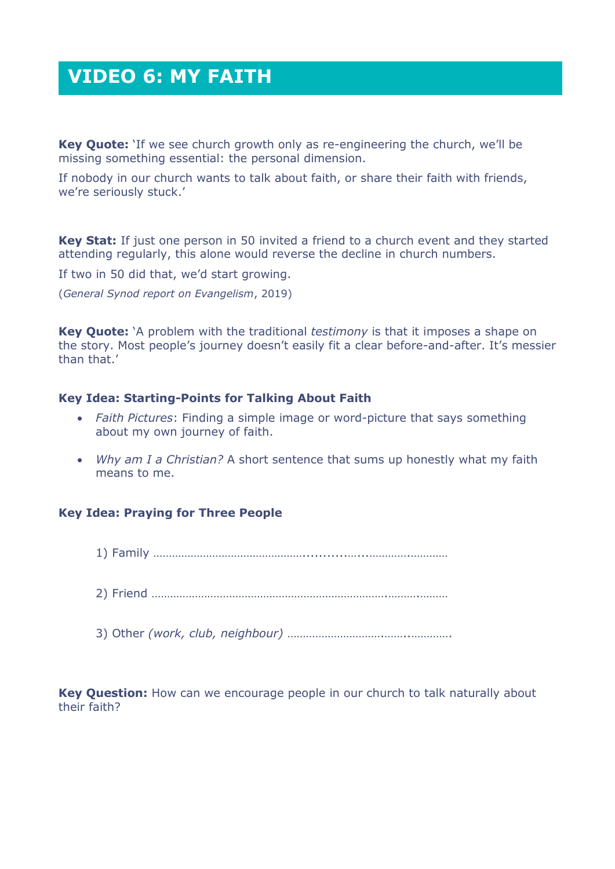### **VIDEO 6: MY FAITH**

**Key Quote:** 'If we see church growth only as re-engineering the church, we'll be missing something essential: the personal dimension.

If nobody in our church wants to talk about faith, or share their faith with friends, we're seriously stuck.'

**Key Stat:** If just one person in 50 invited a friend to a church event and they started attending regularly, this alone would reverse the decline in church numbers.

If two in 50 did that, we'd start growing.

(*General Synod report on Evangelism*, 2019)

**Key Quote:** 'A problem with the traditional *testimony* is that it imposes a shape on the story. Most people's journey doesn't easily fit a clear before-and-after. It's messier than that.'

### **Key Idea: Starting-Points for Talking About Faith**

- *Faith Pictures*: Finding a simple image or word-picture that says something about my own journey of faith.
- *Why am I a Christian?* A short sentence that sums up honestly what my faith means to me.

### **Key Idea: Praying for Three People**

- 1) Family …………………………………………...........…...………….…………
- 2) Friend ………………………………………………………………….……….………
- 3) Other *(work, club, neighbour)* ………………………….……..………….

**Key Question:** How can we encourage people in our church to talk naturally about their faith?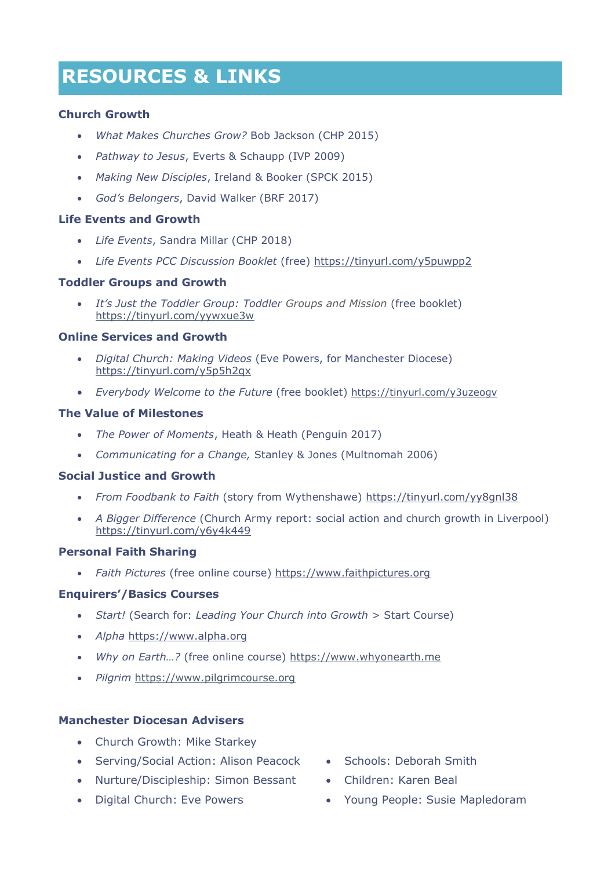### **RESOURCES RESOURCES & LINKS**

### **Church Growth**

- *What Makes Churches Grow?* Bob Jackson (CHP 2015)
- *Pathway to Jesus*, Everts & Schaupp (IVP 2009)
- *Making New Disciples*, Ireland & Booker (SPCK 2015)
- *God's Belongers*, David Walker (BRF 2017)

#### **Life Events and Growth**

- *Life Events*, Sandra Millar (CHP 2018)
- *Life Events PCC Discussion Booklet* (free)<https://tinyurl.com/y5puwpp2>

#### **Toddler Groups and Growth**

 *It's Just the Toddler Group: Toddler Groups and Mission* (free booklet) <https://tinyurl.com/yywxue3w>

### **Online Services and Growth**

- *Digital Church: Making Videos* (Eve Powers, for Manchester Diocese) <https://tinyurl.com/y5p5h2qx>
- *Everybody Welcome to the Future* (free booklet) <https://tinyurl.com/y3uzeogv>

#### **The Value of Milestones**

- *The Power of Moments*, Heath & Heath (Penguin 2017)
- *Communicating for a Change,* Stanley & Jones (Multnomah 2006)

#### **Social Justice and Growth**

- *From Foodbank to Faith* (story from Wythenshawe) <https://tinyurl.com/yy8gnl38>
- *A Bigger Difference* (Church Army report: social action and church growth in Liverpool) <https://tinyurl.com/y6y4k449>

### **Personal Faith Sharing**

*Faith Pictures* (free online course) [https://www.faithpictures.org](https://www.faithpictures.org/)

### **Enquirers'/Basics Courses**

- *Start!* (Search for: *Leading Your Church into Growth* > Start Course)
- *Alpha* [https://www.alpha.org](https://www.alpha.org/)
- *Why on Earth…?* (free online course) [https://www.whyonearth.me](https://www.whyonearth.me/)
- *Pilgrim* [https://www.pilgrimcourse.org](https://www.pilgrimcourse.org/)

#### **Manchester Diocesan Advisers**

- Church Growth: Mike Starkey
- Serving/Social Action: Alison Peacock Schools: Deborah Smith
- Nurture/Discipleship: Simon Bessant Children: Karen Beal
- Digital Church: Eve Powers
- 
- 
- Young People: Susie Mapledoram